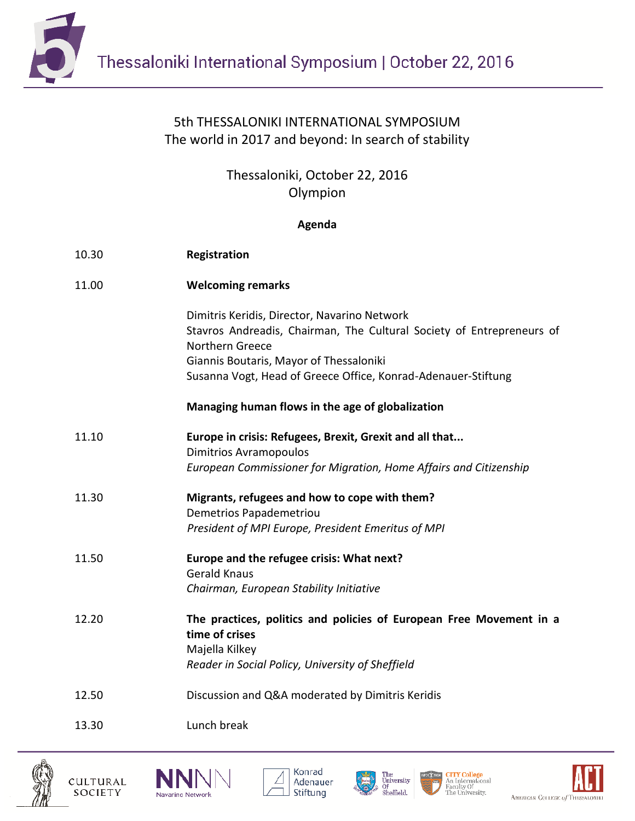

## 5th THESSALONIKI INTERNATIONAL SYMPOSIUM The world in 2017 and beyond: In search of stability

Thessaloniki, October 22, 2016 Olympion

## **Agenda**

| 10.30 | Registration                                                                                                                                                                                                                                         |
|-------|------------------------------------------------------------------------------------------------------------------------------------------------------------------------------------------------------------------------------------------------------|
| 11.00 | <b>Welcoming remarks</b>                                                                                                                                                                                                                             |
|       | Dimitris Keridis, Director, Navarino Network<br>Stavros Andreadis, Chairman, The Cultural Society of Entrepreneurs of<br>Northern Greece<br>Giannis Boutaris, Mayor of Thessaloniki<br>Susanna Vogt, Head of Greece Office, Konrad-Adenauer-Stiftung |
|       | Managing human flows in the age of globalization                                                                                                                                                                                                     |
| 11.10 | Europe in crisis: Refugees, Brexit, Grexit and all that<br><b>Dimitrios Avramopoulos</b><br>European Commissioner for Migration, Home Affairs and Citizenship                                                                                        |
| 11.30 | Migrants, refugees and how to cope with them?<br>Demetrios Papademetriou<br>President of MPI Europe, President Emeritus of MPI                                                                                                                       |
| 11.50 | Europe and the refugee crisis: What next?<br><b>Gerald Knaus</b><br>Chairman, European Stability Initiative                                                                                                                                          |
| 12.20 | The practices, politics and policies of European Free Movement in a<br>time of crises<br>Majella Kilkey<br>Reader in Social Policy, University of Sheffield                                                                                          |
| 12.50 | Discussion and Q&A moderated by Dimitris Keridis                                                                                                                                                                                                     |
| 13.30 | Lunch break                                                                                                                                                                                                                                          |









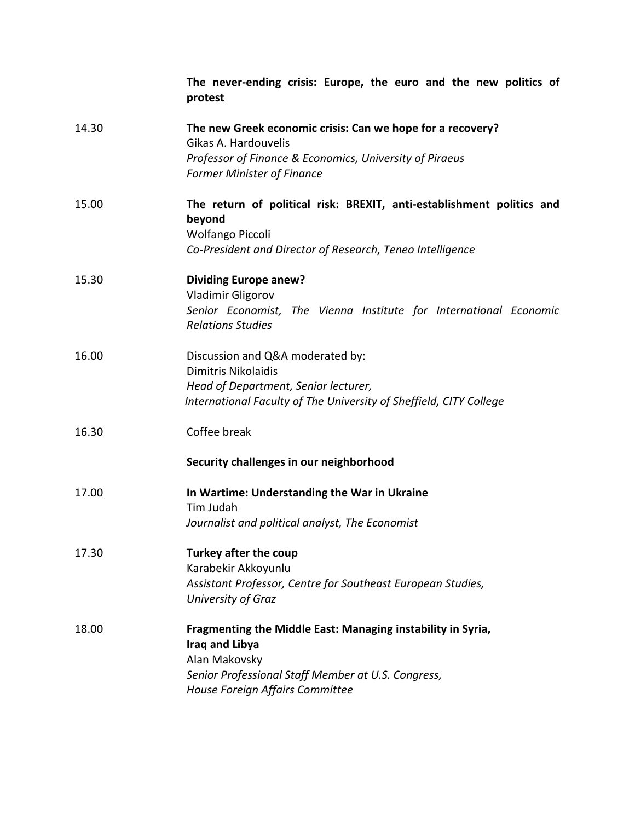|       | The never-ending crisis: Europe, the euro and the new politics of<br>protest                                                                                                                   |
|-------|------------------------------------------------------------------------------------------------------------------------------------------------------------------------------------------------|
| 14.30 | The new Greek economic crisis: Can we hope for a recovery?<br>Gikas A. Hardouvelis<br>Professor of Finance & Economics, University of Piraeus<br><b>Former Minister of Finance</b>             |
| 15.00 | The return of political risk: BREXIT, anti-establishment politics and<br>beyond<br>Wolfango Piccoli<br>Co-President and Director of Research, Teneo Intelligence                               |
| 15.30 | <b>Dividing Europe anew?</b><br>Vladimir Gligorov<br>Senior Economist, The Vienna Institute for International Economic<br><b>Relations Studies</b>                                             |
| 16.00 | Discussion and Q&A moderated by:<br><b>Dimitris Nikolaidis</b><br>Head of Department, Senior lecturer,<br>International Faculty of The University of Sheffield, CITY College                   |
| 16.30 | Coffee break<br>Security challenges in our neighborhood                                                                                                                                        |
| 17.00 | In Wartime: Understanding the War in Ukraine<br>Tim Judah<br>Journalist and political analyst, The Economist                                                                                   |
| 17.30 | Turkey after the coup<br>Karabekir Akkoyunlu<br>Assistant Professor, Centre for Southeast European Studies,<br>University of Graz                                                              |
| 18.00 | Fragmenting the Middle East: Managing instability in Syria,<br><b>Iraq and Libya</b><br>Alan Makovsky<br>Senior Professional Staff Member at U.S. Congress,<br>House Foreign Affairs Committee |